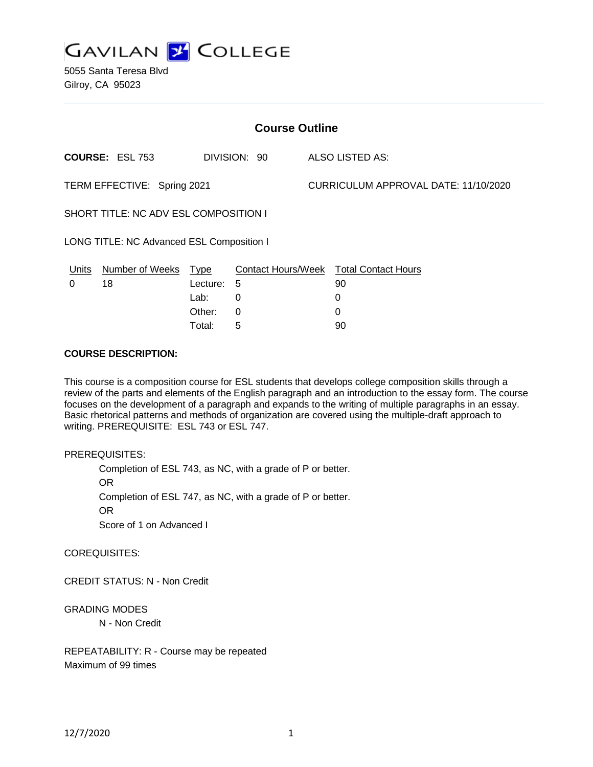

5055 Santa Teresa Blvd Gilroy, CA 95023

| <b>Course Outline</b>                     |                        |             |              |                                      |                                        |
|-------------------------------------------|------------------------|-------------|--------------|--------------------------------------|----------------------------------------|
|                                           | <b>COURSE: ESL 753</b> |             | DIVISION: 90 |                                      | <b>ALSO LISTED AS:</b>                 |
| TERM EFFECTIVE: Spring 2021               |                        |             |              | CURRICULUM APPROVAL DATE: 11/10/2020 |                                        |
| SHORT TITLE: NC ADV ESL COMPOSITION I     |                        |             |              |                                      |                                        |
| LONG TITLE: NC Advanced ESL Composition I |                        |             |              |                                      |                                        |
| <u>Units</u>                              | <b>Number of Weeks</b> | <u>Type</u> |              |                                      | Contact Hours/Week Total Contact Hours |
| 0                                         | 18                     | Lecture:    | 5            |                                      | 90                                     |
|                                           |                        | Lab:        | 0            |                                      | 0                                      |
|                                           |                        | Other:      | 0            |                                      | 0                                      |
|                                           |                        | Total:      | 5            |                                      | 90                                     |

#### **COURSE DESCRIPTION:**

This course is a composition course for ESL students that develops college composition skills through a review of the parts and elements of the English paragraph and an introduction to the essay form. The course focuses on the development of a paragraph and expands to the writing of multiple paragraphs in an essay. Basic rhetorical patterns and methods of organization are covered using the multiple-draft approach to writing. PREREQUISITE: ESL 743 or ESL 747.

#### PREREQUISITES:

Completion of ESL 743, as NC, with a grade of P or better. OR Completion of ESL 747, as NC, with a grade of P or better. OR

Score of 1 on Advanced I

COREQUISITES:

CREDIT STATUS: N - Non Credit

GRADING MODES

N - Non Credit

REPEATABILITY: R - Course may be repeated Maximum of 99 times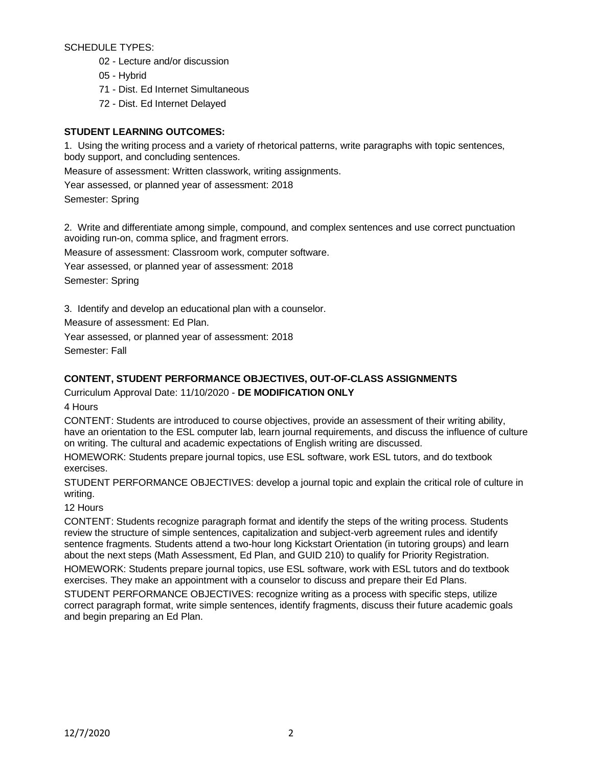SCHEDULE TYPES:

- 02 Lecture and/or discussion
- 05 Hybrid
- 71 Dist. Ed Internet Simultaneous
- 72 Dist. Ed Internet Delayed

# **STUDENT LEARNING OUTCOMES:**

1. Using the writing process and a variety of rhetorical patterns, write paragraphs with topic sentences, body support, and concluding sentences.

Measure of assessment: Written classwork, writing assignments.

Year assessed, or planned year of assessment: 2018

Semester: Spring

2. Write and differentiate among simple, compound, and complex sentences and use correct punctuation avoiding run-on, comma splice, and fragment errors.

Measure of assessment: Classroom work, computer software.

Year assessed, or planned year of assessment: 2018

Semester: Spring

3. Identify and develop an educational plan with a counselor.

Measure of assessment: Ed Plan.

Year assessed, or planned year of assessment: 2018

Semester: Fall

# **CONTENT, STUDENT PERFORMANCE OBJECTIVES, OUT-OF-CLASS ASSIGNMENTS**

Curriculum Approval Date: 11/10/2020 - **DE MODIFICATION ONLY**

4 Hours

CONTENT: Students are introduced to course objectives, provide an assessment of their writing ability, have an orientation to the ESL computer lab, learn journal requirements, and discuss the influence of culture on writing. The cultural and academic expectations of English writing are discussed.

HOMEWORK: Students prepare journal topics, use ESL software, work ESL tutors, and do textbook exercises.

STUDENT PERFORMANCE OBJECTIVES: develop a journal topic and explain the critical role of culture in writing.

# 12 Hours

CONTENT: Students recognize paragraph format and identify the steps of the writing process. Students review the structure of simple sentences, capitalization and subject-verb agreement rules and identify sentence fragments. Students attend a two-hour long Kickstart Orientation (in tutoring groups) and learn about the next steps (Math Assessment, Ed Plan, and GUID 210) to qualify for Priority Registration.

HOMEWORK: Students prepare journal topics, use ESL software, work with ESL tutors and do textbook exercises. They make an appointment with a counselor to discuss and prepare their Ed Plans.

STUDENT PERFORMANCE OBJECTIVES: recognize writing as a process with specific steps, utilize correct paragraph format, write simple sentences, identify fragments, discuss their future academic goals and begin preparing an Ed Plan.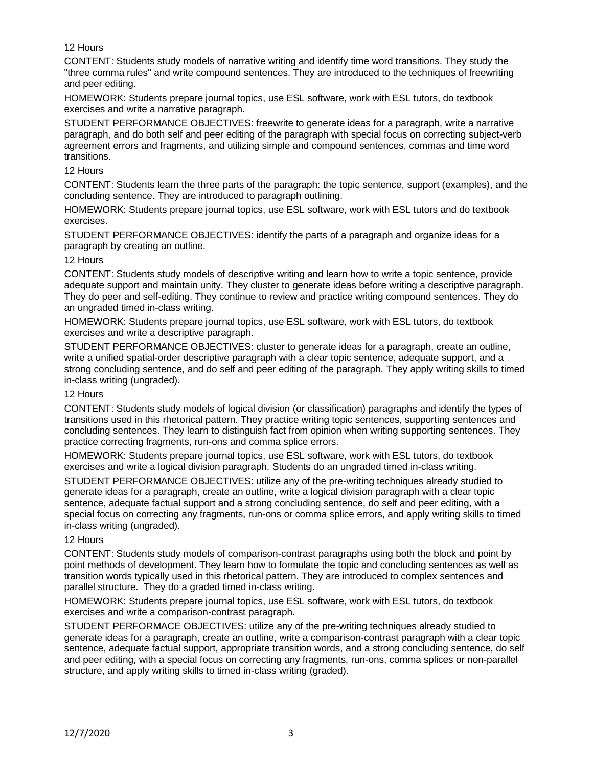### 12 Hours

CONTENT: Students study models of narrative writing and identify time word transitions. They study the "three comma rules" and write compound sentences. They are introduced to the techniques of freewriting and peer editing.

HOMEWORK: Students prepare journal topics, use ESL software, work with ESL tutors, do textbook exercises and write a narrative paragraph.

STUDENT PERFORMANCE OBJECTIVES: freewrite to generate ideas for a paragraph, write a narrative paragraph, and do both self and peer editing of the paragraph with special focus on correcting subject-verb agreement errors and fragments, and utilizing simple and compound sentences, commas and time word transitions.

### 12 Hours

CONTENT: Students learn the three parts of the paragraph: the topic sentence, support (examples), and the concluding sentence. They are introduced to paragraph outlining.

HOMEWORK: Students prepare journal topics, use ESL software, work with ESL tutors and do textbook exercises.

STUDENT PERFORMANCE OBJECTIVES: identify the parts of a paragraph and organize ideas for a paragraph by creating an outline.

### 12 Hours

CONTENT: Students study models of descriptive writing and learn how to write a topic sentence, provide adequate support and maintain unity. They cluster to generate ideas before writing a descriptive paragraph. They do peer and self-editing. They continue to review and practice writing compound sentences. They do an ungraded timed in-class writing.

HOMEWORK: Students prepare journal topics, use ESL software, work with ESL tutors, do textbook exercises and write a descriptive paragraph.

STUDENT PERFORMANCE OBJECTIVES: cluster to generate ideas for a paragraph, create an outline, write a unified spatial-order descriptive paragraph with a clear topic sentence, adequate support, and a strong concluding sentence, and do self and peer editing of the paragraph. They apply writing skills to timed in-class writing (ungraded).

### 12 Hours

CONTENT: Students study models of logical division (or classification) paragraphs and identify the types of transitions used in this rhetorical pattern. They practice writing topic sentences, supporting sentences and concluding sentences. They learn to distinguish fact from opinion when writing supporting sentences. They practice correcting fragments, run-ons and comma splice errors.

HOMEWORK: Students prepare journal topics, use ESL software, work with ESL tutors, do textbook exercises and write a logical division paragraph. Students do an ungraded timed in-class writing.

STUDENT PERFORMANCE OBJECTIVES: utilize any of the pre-writing techniques already studied to generate ideas for a paragraph, create an outline, write a logical division paragraph with a clear topic sentence, adequate factual support and a strong concluding sentence, do self and peer editing, with a special focus on correcting any fragments, run-ons or comma splice errors, and apply writing skills to timed in-class writing (ungraded).

### 12 Hours

CONTENT: Students study models of comparison-contrast paragraphs using both the block and point by point methods of development. They learn how to formulate the topic and concluding sentences as well as transition words typically used in this rhetorical pattern. They are introduced to complex sentences and parallel structure. They do a graded timed in-class writing.

HOMEWORK: Students prepare journal topics, use ESL software, work with ESL tutors, do textbook exercises and write a comparison-contrast paragraph.

STUDENT PERFORMACE OBJECTIVES: utilize any of the pre-writing techniques already studied to generate ideas for a paragraph, create an outline, write a comparison-contrast paragraph with a clear topic sentence, adequate factual support, appropriate transition words, and a strong concluding sentence, do self and peer editing, with a special focus on correcting any fragments, run-ons, comma splices or non-parallel structure, and apply writing skills to timed in-class writing (graded).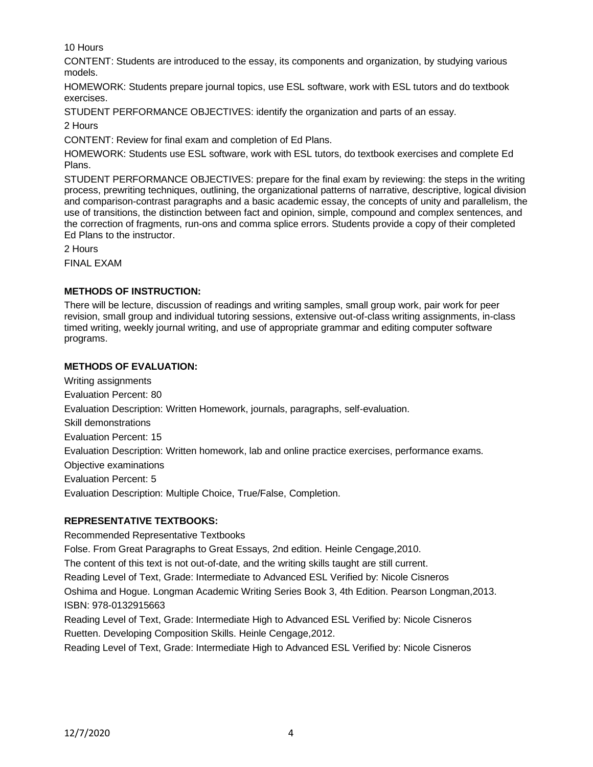10 Hours

CONTENT: Students are introduced to the essay, its components and organization, by studying various models.

HOMEWORK: Students prepare journal topics, use ESL software, work with ESL tutors and do textbook exercises.

STUDENT PERFORMANCE OBJECTIVES: identify the organization and parts of an essay.

2 Hours

CONTENT: Review for final exam and completion of Ed Plans.

HOMEWORK: Students use ESL software, work with ESL tutors, do textbook exercises and complete Ed Plans.

STUDENT PERFORMANCE OBJECTIVES: prepare for the final exam by reviewing: the steps in the writing process, prewriting techniques, outlining, the organizational patterns of narrative, descriptive, logical division and comparison-contrast paragraphs and a basic academic essay, the concepts of unity and parallelism, the use of transitions, the distinction between fact and opinion, simple, compound and complex sentences, and the correction of fragments, run-ons and comma splice errors. Students provide a copy of their completed Ed Plans to the instructor.

2 Hours

FINAL EXAM

# **METHODS OF INSTRUCTION:**

There will be lecture, discussion of readings and writing samples, small group work, pair work for peer revision, small group and individual tutoring sessions, extensive out-of-class writing assignments, in-class timed writing, weekly journal writing, and use of appropriate grammar and editing computer software programs.

# **METHODS OF EVALUATION:**

Writing assignments Evaluation Percent: 80 Evaluation Description: Written Homework, journals, paragraphs, self-evaluation. Skill demonstrations Evaluation Percent: 15 Evaluation Description: Written homework, lab and online practice exercises, performance exams. Objective examinations Evaluation Percent: 5 Evaluation Description: Multiple Choice, True/False, Completion.

# **REPRESENTATIVE TEXTBOOKS:**

Recommended Representative Textbooks

Folse. From Great Paragraphs to Great Essays, 2nd edition. Heinle Cengage,2010.

The content of this text is not out-of-date, and the writing skills taught are still current.

Reading Level of Text, Grade: Intermediate to Advanced ESL Verified by: Nicole Cisneros

Oshima and Hogue. Longman Academic Writing Series Book 3, 4th Edition. Pearson Longman,2013. ISBN: 978-0132915663

Reading Level of Text, Grade: Intermediate High to Advanced ESL Verified by: Nicole Cisneros Ruetten. Developing Composition Skills. Heinle Cengage,2012.

Reading Level of Text, Grade: Intermediate High to Advanced ESL Verified by: Nicole Cisneros